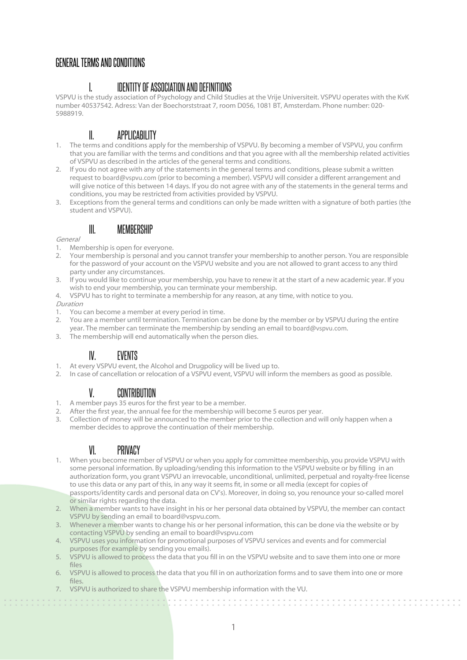### GENERAL TERMS AND CONDITIONS

### I. IDENTITY OF ASSOCIATION AND DEFINITIONS

VSPVU is the study association of Psychology and Child Studies at the Vrije Universiteit. VSPVU operates with the KvK number 40537542. Adress: Van der Boechorststraat 7, room D056, 1081 BT, Amsterdam. Phone number: 020- 5988919.

# II. APPLICABILITY

- 1. The terms and conditions apply for the membership of VSPVU. By becoming a member of VSPVU, you confrm that you are familiar with the terms and conditions and that you agree with all the membership related activities of VSPVU as described in the articles of the general terms and conditions.
- 2. If you do not agree with any of the statements in the general terms and conditions, please submit a written request to board@vspvu.com (prior to becoming a member). VSPVU will consider a different arrangement and will give notice of this between 14 days. If you do not agree with any of the statements in the general terms and conditions, you may be restricted from activities provided by VSPVU.
- 3. Exceptions from the general terms and conditions can only be made written with a signature of both parties (the student and VSPVU).

#### III. MEMBERSHIP

#### General

- 1. Membership is open for everyone.
- 2. Your membership is personal and you cannot transfer your membership to another person. You are responsible for the password of your account on the VSPVU website and you are not allowed to grant access to any third party under any circumstances.
- 3. If you would like to continue your membership, you have to renew it at the start of a new academic year. If you wish to end your membership, you can terminate your membership.
- 4. VSPVU has to right to terminate a membership for any reason, at any time, with notice to you.

#### Duration

- 1. You can become a member at every period in time.
- 2. You are a member until termination. Termination can be done by the member or by VSPVU during the entire year. The member can terminate the membership by sending an email to board@vspvu.com.
- 3. The membership will end automatically when the person dies.

#### IV. EVENTS

- 1. At every VSPVU event, the Alcohol and Drugpolicy will be lived up to.
- 2. In case of cancellation or relocation of a VSPVU event, VSPVU will inform the members as good as possible.

#### V. CONTRIBUTION

- 1. A member pays 35 euros for the frst year to be a member.
- 2. After the frst year, the annual fee for the membership will become 5 euros per year.
- 3. Collection of money will be announced to the member prior to the collection and will only happen when a member decides to approve the continuation of their membership.

# VI. PRIVACY

- 1. When you become member of VSPVU or when you apply for committee membership, you provide VSPVU with some personal information. By uploading/sending this information to the VSPVU website or by flling in an authorization form, you grant VSPVU an irrevocable, unconditional, unlimited, perpetual and royalty-free license to use this data or any part of this, in any way it seems ft, in some or all media (except for copies of passports/identity cards and personal data on CV's). Moreover, in doing so, you renounce your so-called morel or similar rights regarding the data.
- 2. When a member wants to have insight in his or her personal data obtained by VSPVU, the member can contact VSPVU by sending an email to board@vspvu.com.
- 3. Whenever a member wants to change his or her personal information, this can be done via the website or by contacting VSPVU by sending an email to board@vspvu.com
- 4. VSPVU uses you information for promotional purposes of VSPVU services and events and for commercial purposes (for example by sending you emails).
- 5. VSPVU is allowed to process the data that you fll in on the VSPVU website and to save them into one or more fles
- 6. VSPVU is allowed to process the data that you fll in on authorization forms and to save them into one or more fles.
- 7. VSPVU is authorized to share the VSPVU membership information with the VU.